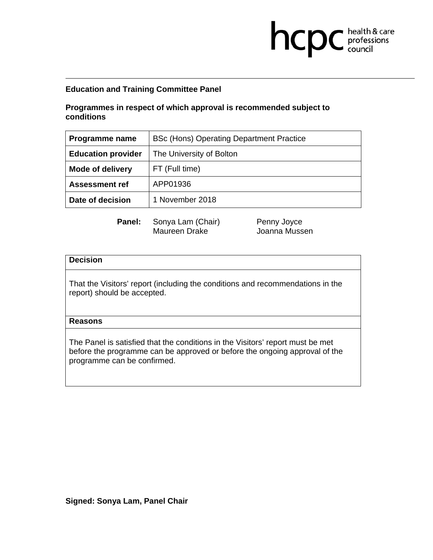# **Education and Training Committee Panel**

## **Programmes in respect of which approval is recommended subject to conditions**

| Programme name            | <b>BSc (Hons) Operating Department Practice</b> |  |
|---------------------------|-------------------------------------------------|--|
| <b>Education provider</b> | The University of Bolton                        |  |
| <b>Mode of delivery</b>   | FT (Full time)                                  |  |
| <b>Assessment ref</b>     | APP01936                                        |  |
| Date of decision          | 1 November 2018                                 |  |

Panel: Sonya Lam (Chair) Penny Joyce Maureen Drake Joanna Mussen

**health & care** 

## **Decision**

That the Visitors' report (including the conditions and recommendations in the report) should be accepted.

#### **Reasons**

The Panel is satisfied that the conditions in the Visitors' report must be met before the programme can be approved or before the ongoing approval of the programme can be confirmed.